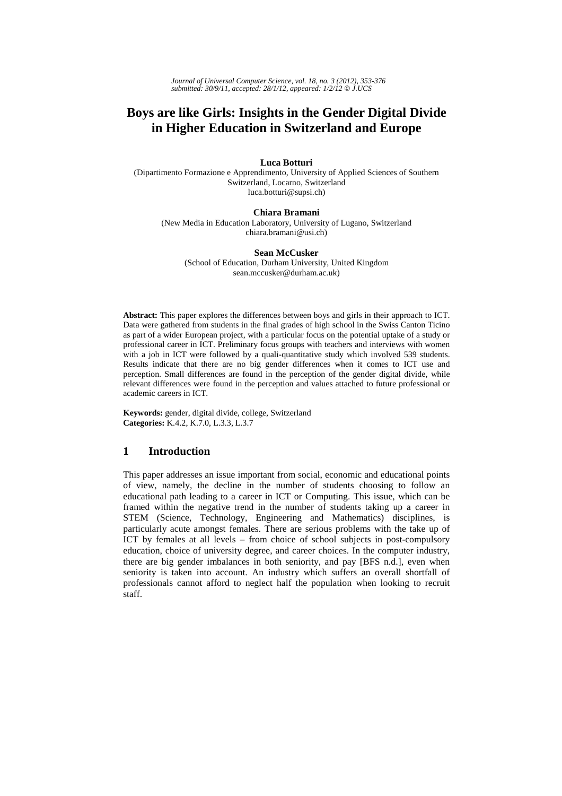# **Boys are like Girls: Insights in the Gender Digital Divide in Higher Education in Switzerland and Europe**

### **Luca Botturi**

(Dipartimento Formazione e Apprendimento, University of Applied Sciences of Southern Switzerland, Locarno, Switzerland luca.botturi@supsi.ch)

### **Chiara Bramani**

(New Media in Education Laboratory, University of Lugano, Switzerland chiara.bramani@usi.ch)

#### **Sean McCusker**

(School of Education, Durham University, United Kingdom sean.mccusker@durham.ac.uk)

**Abstract:** This paper explores the differences between boys and girls in their approach to ICT. Data were gathered from students in the final grades of high school in the Swiss Canton Ticino as part of a wider European project, with a particular focus on the potential uptake of a study or professional career in ICT. Preliminary focus groups with teachers and interviews with women with a job in ICT were followed by a quali-quantitative study which involved 539 students. Results indicate that there are no big gender differences when it comes to ICT use and perception. Small differences are found in the perception of the gender digital divide, while relevant differences were found in the perception and values attached to future professional or academic careers in ICT.

**Keywords:** gender, digital divide, college, Switzerland **Categories:** K.4.2, K.7.0, L.3.3, L.3.7

# **1 Introduction**

This paper addresses an issue important from social, economic and educational points of view, namely, the decline in the number of students choosing to follow an educational path leading to a career in ICT or Computing. This issue, which can be framed within the negative trend in the number of students taking up a career in STEM (Science, Technology, Engineering and Mathematics) disciplines, is particularly acute amongst females. There are serious problems with the take up of ICT by females at all levels – from choice of school subjects in post-compulsory education, choice of university degree, and career choices. In the computer industry, there are big gender imbalances in both seniority, and pay [BFS n.d.], even when seniority is taken into account. An industry which suffers an overall shortfall of professionals cannot afford to neglect half the population when looking to recruit staff.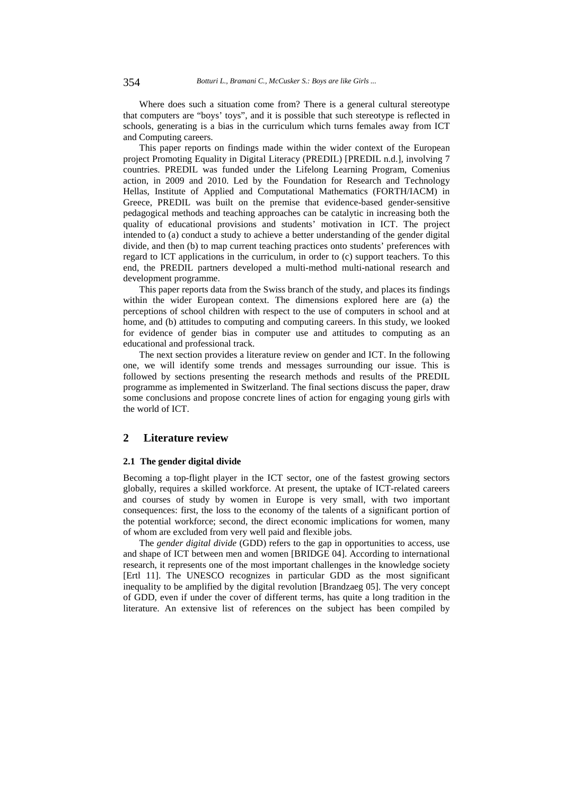Where does such a situation come from? There is a general cultural stereotype that computers are "boys' toys", and it is possible that such stereotype is reflected in schools, generating is a bias in the curriculum which turns females away from ICT and Computing careers.

This paper reports on findings made within the wider context of the European project Promoting Equality in Digital Literacy (PREDIL) [PREDIL n.d.], involving 7 countries. PREDIL was funded under the Lifelong Learning Program, Comenius action, in 2009 and 2010. Led by the Foundation for Research and Technology Hellas, Institute of Applied and Computational Mathematics (FORTH/IACM) in Greece, PREDIL was built on the premise that evidence-based gender-sensitive pedagogical methods and teaching approaches can be catalytic in increasing both the quality of educational provisions and students' motivation in ICT. The project intended to (a) conduct a study to achieve a better understanding of the gender digital divide, and then (b) to map current teaching practices onto students' preferences with regard to ICT applications in the curriculum, in order to (c) support teachers. To this end, the PREDIL partners developed a multi-method multi-national research and development programme.

This paper reports data from the Swiss branch of the study, and places its findings within the wider European context. The dimensions explored here are (a) the perceptions of school children with respect to the use of computers in school and at home, and (b) attitudes to computing and computing careers. In this study, we looked for evidence of gender bias in computer use and attitudes to computing as an educational and professional track.

The next section provides a literature review on gender and ICT. In the following one, we will identify some trends and messages surrounding our issue. This is followed by sections presenting the research methods and results of the PREDIL programme as implemented in Switzerland. The final sections discuss the paper, draw some conclusions and propose concrete lines of action for engaging young girls with the world of ICT.

### **2 Literature review**

#### **2.1 The gender digital divide**

Becoming a top-flight player in the ICT sector, one of the fastest growing sectors globally, requires a skilled workforce. At present, the uptake of ICT-related careers and courses of study by women in Europe is very small, with two important consequences: first, the loss to the economy of the talents of a significant portion of the potential workforce; second, the direct economic implications for women, many of whom are excluded from very well paid and flexible jobs.

The *gender digital divide* (GDD) refers to the gap in opportunities to access, use and shape of ICT between men and women [BRIDGE 04]. According to international research, it represents one of the most important challenges in the knowledge society [Ertl 11]. The UNESCO recognizes in particular GDD as the most significant inequality to be amplified by the digital revolution [Brandzaeg 05]. The very concept of GDD, even if under the cover of different terms, has quite a long tradition in the literature. An extensive list of references on the subject has been compiled by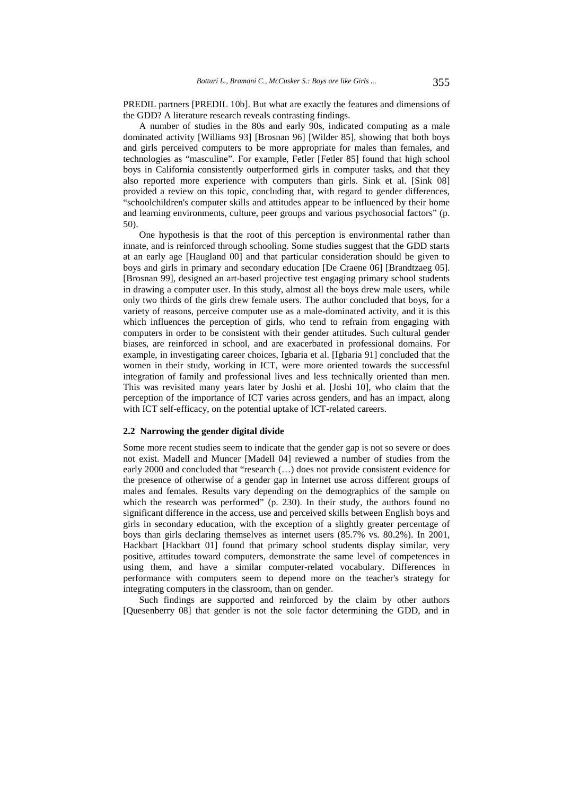PREDIL partners [PREDIL 10b]. But what are exactly the features and dimensions of the GDD? A literature research reveals contrasting findings.

A number of studies in the 80s and early 90s, indicated computing as a male dominated activity [Williams 93] [Brosnan 96] [Wilder 85], showing that both boys and girls perceived computers to be more appropriate for males than females, and technologies as "masculine". For example, Fetler [Fetler 85] found that high school boys in California consistently outperformed girls in computer tasks, and that they also reported more experience with computers than girls. Sink et al. [Sink 08] provided a review on this topic, concluding that, with regard to gender differences, "schoolchildren's computer skills and attitudes appear to be influenced by their home and learning environments, culture, peer groups and various psychosocial factors" (p. 50).

One hypothesis is that the root of this perception is environmental rather than innate, and is reinforced through schooling. Some studies suggest that the GDD starts at an early age [Haugland 00] and that particular consideration should be given to boys and girls in primary and secondary education [De Craene 06] [Brandtzaeg 05]. [Brosnan 99], designed an art-based projective test engaging primary school students in drawing a computer user. In this study, almost all the boys drew male users, while only two thirds of the girls drew female users. The author concluded that boys, for a variety of reasons, perceive computer use as a male-dominated activity, and it is this which influences the perception of girls, who tend to refrain from engaging with computers in order to be consistent with their gender attitudes. Such cultural gender biases, are reinforced in school, and are exacerbated in professional domains. For example, in investigating career choices, Igbaria et al. [Igbaria 91] concluded that the women in their study, working in ICT, were more oriented towards the successful integration of family and professional lives and less technically oriented than men. This was revisited many years later by Joshi et al. [Joshi 10], who claim that the perception of the importance of ICT varies across genders, and has an impact, along with ICT self-efficacy, on the potential uptake of ICT-related careers.

### **2.2 Narrowing the gender digital divide**

Some more recent studies seem to indicate that the gender gap is not so severe or does not exist. Madell and Muncer [Madell 04] reviewed a number of studies from the early 2000 and concluded that "research (…) does not provide consistent evidence for the presence of otherwise of a gender gap in Internet use across different groups of males and females. Results vary depending on the demographics of the sample on which the research was performed"  $(p. 230)$ . In their study, the authors found no significant difference in the access, use and perceived skills between English boys and girls in secondary education, with the exception of a slightly greater percentage of boys than girls declaring themselves as internet users (85.7% vs. 80.2%). In 2001, Hackbart [Hackbart 01] found that primary school students display similar, very positive, attitudes toward computers, demonstrate the same level of competences in using them, and have a similar computer-related vocabulary. Differences in performance with computers seem to depend more on the teacher's strategy for integrating computers in the classroom, than on gender.

Such findings are supported and reinforced by the claim by other authors [Quesenberry 08] that gender is not the sole factor determining the GDD, and in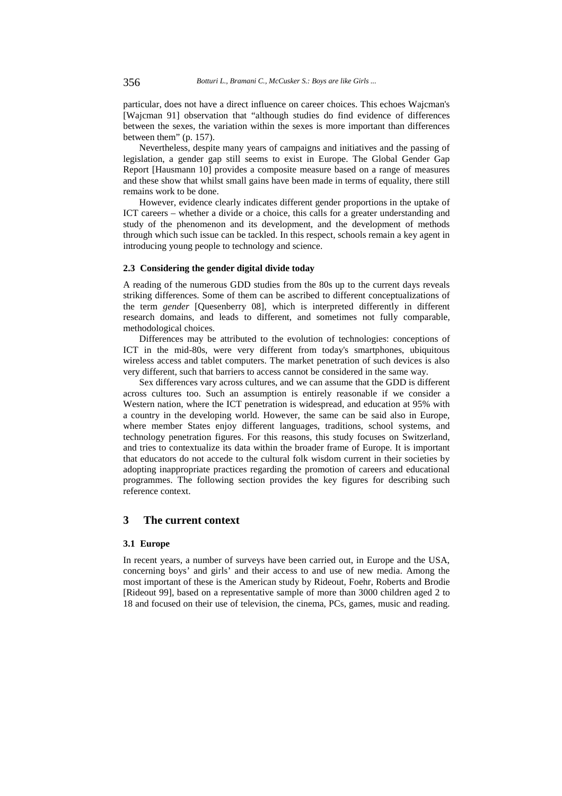particular, does not have a direct influence on career choices. This echoes Wajcman's [Wajcman 91] observation that "although studies do find evidence of differences between the sexes, the variation within the sexes is more important than differences between them" (p. 157).

Nevertheless, despite many years of campaigns and initiatives and the passing of legislation, a gender gap still seems to exist in Europe. The Global Gender Gap Report [Hausmann 10] provides a composite measure based on a range of measures and these show that whilst small gains have been made in terms of equality, there still remains work to be done.

However, evidence clearly indicates different gender proportions in the uptake of ICT careers – whether a divide or a choice, this calls for a greater understanding and study of the phenomenon and its development, and the development of methods through which such issue can be tackled. In this respect, schools remain a key agent in introducing young people to technology and science.

### **2.3 Considering the gender digital divide today**

A reading of the numerous GDD studies from the 80s up to the current days reveals striking differences. Some of them can be ascribed to different conceptualizations of the term *gender* [Quesenberry 08], which is interpreted differently in different research domains, and leads to different, and sometimes not fully comparable, methodological choices.

Differences may be attributed to the evolution of technologies: conceptions of ICT in the mid-80s, were very different from today's smartphones, ubiquitous wireless access and tablet computers. The market penetration of such devices is also very different, such that barriers to access cannot be considered in the same way.

Sex differences vary across cultures, and we can assume that the GDD is different across cultures too. Such an assumption is entirely reasonable if we consider a Western nation, where the ICT penetration is widespread, and education at 95% with a country in the developing world. However, the same can be said also in Europe, where member States enjoy different languages, traditions, school systems, and technology penetration figures. For this reasons, this study focuses on Switzerland, and tries to contextualize its data within the broader frame of Europe. It is important that educators do not accede to the cultural folk wisdom current in their societies by adopting inappropriate practices regarding the promotion of careers and educational programmes. The following section provides the key figures for describing such reference context.

### **3 The current context**

#### **3.1 Europe**

In recent years, a number of surveys have been carried out, in Europe and the USA, concerning boys' and girls' and their access to and use of new media. Among the most important of these is the American study by Rideout, Foehr, Roberts and Brodie [Rideout 99], based on a representative sample of more than 3000 children aged 2 to 18 and focused on their use of television, the cinema, PCs, games, music and reading.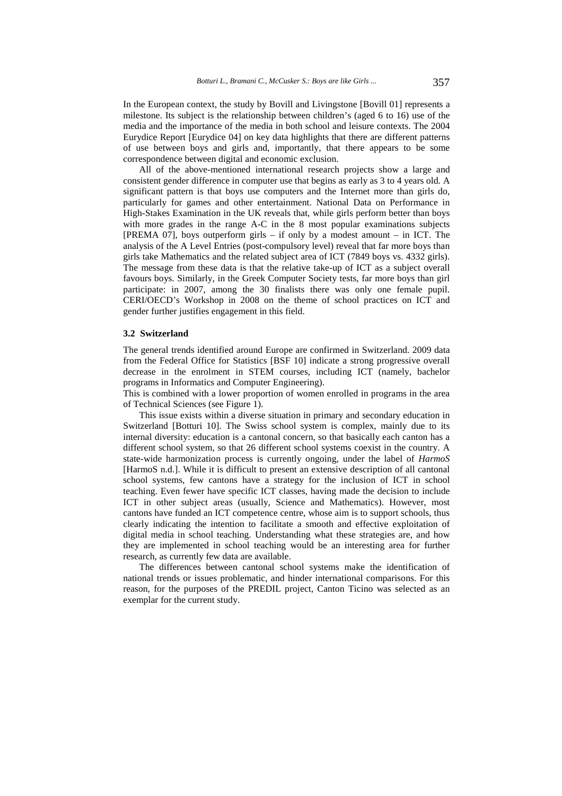In the European context, the study by Bovill and Livingstone [Bovill 01] represents a milestone. Its subject is the relationship between children's (aged 6 to 16) use of the media and the importance of the media in both school and leisure contexts. The 2004 Eurydice Report [Eurydice 04] on key data highlights that there are different patterns of use between boys and girls and, importantly, that there appears to be some correspondence between digital and economic exclusion.

All of the above-mentioned international research projects show a large and consistent gender difference in computer use that begins as early as 3 to 4 years old. A significant pattern is that boys use computers and the Internet more than girls do, particularly for games and other entertainment. National Data on Performance in High-Stakes Examination in the UK reveals that, while girls perform better than boys with more grades in the range A-C in the 8 most popular examinations subjects [PREMA 07], boys outperform girls – if only by a modest amount – in ICT. The analysis of the A Level Entries (post-compulsory level) reveal that far more boys than girls take Mathematics and the related subject area of ICT (7849 boys vs. 4332 girls). The message from these data is that the relative take-up of ICT as a subject overall favours boys. Similarly, in the Greek Computer Society tests, far more boys than girl participate: in 2007, among the 30 finalists there was only one female pupil. CERI/OECD's Workshop in 2008 on the theme of school practices on ICT and gender further justifies engagement in this field.

#### **3.2 Switzerland**

The general trends identified around Europe are confirmed in Switzerland. 2009 data from the Federal Office for Statistics [BSF 10] indicate a strong progressive overall decrease in the enrolment in STEM courses, including ICT (namely, bachelor programs in Informatics and Computer Engineering).

This is combined with a lower proportion of women enrolled in programs in the area of Technical Sciences (see Figure 1).

This issue exists within a diverse situation in primary and secondary education in Switzerland [Botturi 10]. The Swiss school system is complex, mainly due to its internal diversity: education is a cantonal concern, so that basically each canton has a different school system, so that 26 different school systems coexist in the country. A state-wide harmonization process is currently ongoing, under the label of *HarmoS*  [HarmoS n.d.]. While it is difficult to present an extensive description of all cantonal school systems, few cantons have a strategy for the inclusion of ICT in school teaching. Even fewer have specific ICT classes, having made the decision to include ICT in other subject areas (usually, Science and Mathematics). However, most cantons have funded an ICT competence centre, whose aim is to support schools, thus clearly indicating the intention to facilitate a smooth and effective exploitation of digital media in school teaching. Understanding what these strategies are, and how they are implemented in school teaching would be an interesting area for further research, as currently few data are available.

The differences between cantonal school systems make the identification of national trends or issues problematic, and hinder international comparisons. For this reason, for the purposes of the PREDIL project, Canton Ticino was selected as an exemplar for the current study.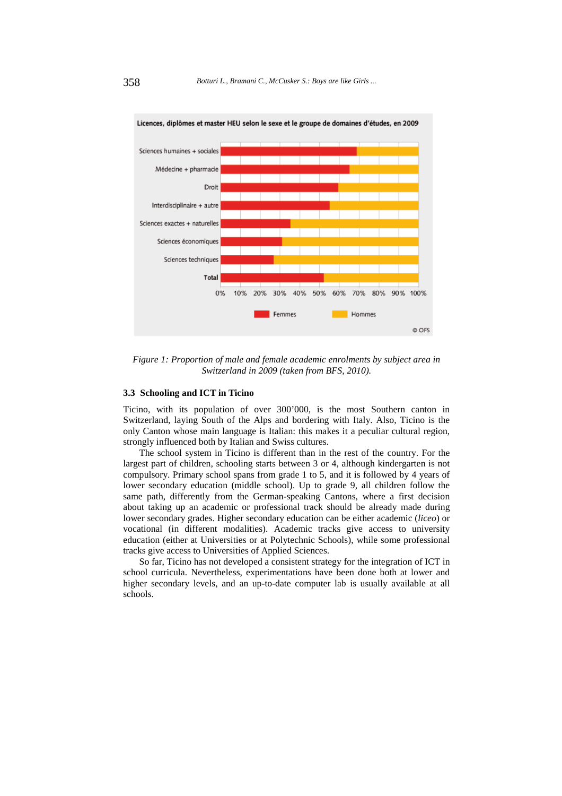

Licences, diplômes et master HEU selon le sexe et le groupe de domaines d'études, en 2009

*Figure 1: Proportion of male and female academic enrolments by subject area in Switzerland in 2009 (taken from BFS, 2010).* 

### **3.3 Schooling and ICT in Ticino**

Ticino, with its population of over 300'000, is the most Southern canton in Switzerland, laying South of the Alps and bordering with Italy. Also, Ticino is the only Canton whose main language is Italian: this makes it a peculiar cultural region, strongly influenced both by Italian and Swiss cultures.

The school system in Ticino is different than in the rest of the country. For the largest part of children, schooling starts between 3 or 4, although kindergarten is not compulsory. Primary school spans from grade 1 to 5, and it is followed by 4 years of lower secondary education (middle school). Up to grade 9, all children follow the same path, differently from the German-speaking Cantons, where a first decision about taking up an academic or professional track should be already made during lower secondary grades. Higher secondary education can be either academic (*liceo*) or vocational (in different modalities). Academic tracks give access to university education (either at Universities or at Polytechnic Schools), while some professional tracks give access to Universities of Applied Sciences.

So far, Ticino has not developed a consistent strategy for the integration of ICT in school curricula. Nevertheless, experimentations have been done both at lower and higher secondary levels, and an up-to-date computer lab is usually available at all schools.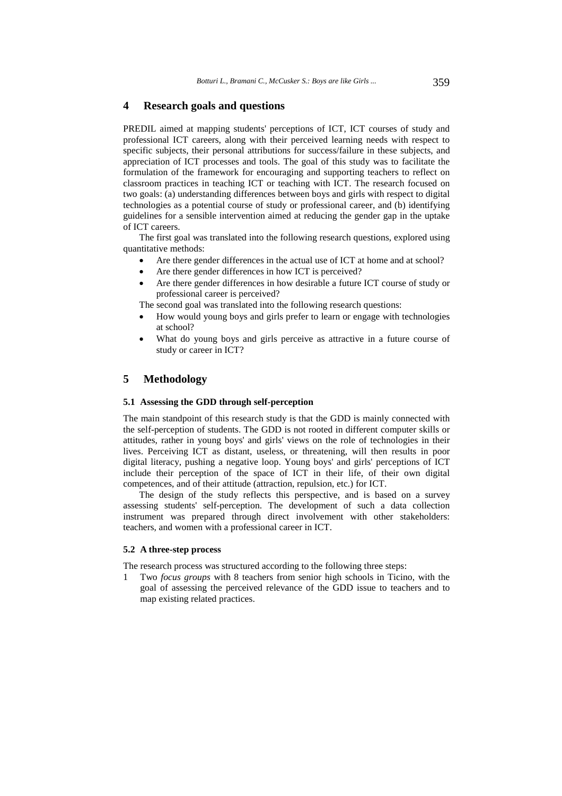### **4 Research goals and questions**

PREDIL aimed at mapping students' perceptions of ICT, ICT courses of study and professional ICT careers, along with their perceived learning needs with respect to specific subjects, their personal attributions for success/failure in these subjects, and appreciation of ICT processes and tools. The goal of this study was to facilitate the formulation of the framework for encouraging and supporting teachers to reflect on classroom practices in teaching ICT or teaching with ICT. The research focused on two goals: (a) understanding differences between boys and girls with respect to digital technologies as a potential course of study or professional career, and (b) identifying guidelines for a sensible intervention aimed at reducing the gender gap in the uptake of ICT careers.

The first goal was translated into the following research questions, explored using quantitative methods:

- Are there gender differences in the actual use of ICT at home and at school?
- Are there gender differences in how ICT is perceived?
- Are there gender differences in how desirable a future ICT course of study or professional career is perceived?

The second goal was translated into the following research questions:

- How would young boys and girls prefer to learn or engage with technologies at school?
- What do young boys and girls perceive as attractive in a future course of study or career in ICT?

# **5 Methodology**

#### **5.1 Assessing the GDD through self-perception**

The main standpoint of this research study is that the GDD is mainly connected with the self-perception of students. The GDD is not rooted in different computer skills or attitudes, rather in young boys' and girls' views on the role of technologies in their lives. Perceiving ICT as distant, useless, or threatening, will then results in poor digital literacy, pushing a negative loop. Young boys' and girls' perceptions of ICT include their perception of the space of ICT in their life, of their own digital competences, and of their attitude (attraction, repulsion, etc.) for ICT.

The design of the study reflects this perspective, and is based on a survey assessing students' self-perception. The development of such a data collection instrument was prepared through direct involvement with other stakeholders: teachers, and women with a professional career in ICT.

### **5.2 A three-step process**

The research process was structured according to the following three steps:

1 Two *focus groups* with 8 teachers from senior high schools in Ticino, with the goal of assessing the perceived relevance of the GDD issue to teachers and to map existing related practices.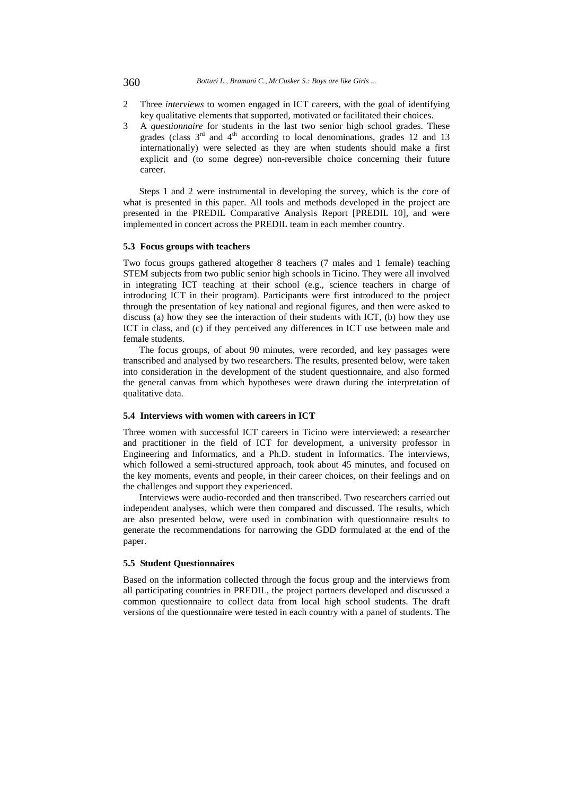- 2 Three *interviews* to women engaged in ICT careers, with the goal of identifying key qualitative elements that supported, motivated or facilitated their choices.
- 3 A *questionnaire* for students in the last two senior high school grades. These grades (class  $3<sup>rd</sup>$  and  $4<sup>th</sup>$  according to local denominations, grades 12 and 13 internationally) were selected as they are when students should make a first explicit and (to some degree) non-reversible choice concerning their future career.

Steps 1 and 2 were instrumental in developing the survey, which is the core of what is presented in this paper. All tools and methods developed in the project are presented in the PREDIL Comparative Analysis Report [PREDIL 10], and were implemented in concert across the PREDIL team in each member country.

### **5.3 Focus groups with teachers**

Two focus groups gathered altogether 8 teachers (7 males and 1 female) teaching STEM subjects from two public senior high schools in Ticino. They were all involved in integrating ICT teaching at their school (e.g., science teachers in charge of introducing ICT in their program). Participants were first introduced to the project through the presentation of key national and regional figures, and then were asked to discuss (a) how they see the interaction of their students with ICT, (b) how they use ICT in class, and (c) if they perceived any differences in ICT use between male and female students.

The focus groups, of about 90 minutes, were recorded, and key passages were transcribed and analysed by two researchers. The results, presented below, were taken into consideration in the development of the student questionnaire, and also formed the general canvas from which hypotheses were drawn during the interpretation of qualitative data.

#### **5.4 Interviews with women with careers in ICT**

Three women with successful ICT careers in Ticino were interviewed: a researcher and practitioner in the field of ICT for development, a university professor in Engineering and Informatics, and a Ph.D. student in Informatics. The interviews, which followed a semi-structured approach, took about 45 minutes, and focused on the key moments, events and people, in their career choices, on their feelings and on the challenges and support they experienced.

Interviews were audio-recorded and then transcribed. Two researchers carried out independent analyses, which were then compared and discussed. The results, which are also presented below, were used in combination with questionnaire results to generate the recommendations for narrowing the GDD formulated at the end of the paper.

### **5.5 Student Questionnaires**

Based on the information collected through the focus group and the interviews from all participating countries in PREDIL, the project partners developed and discussed a common questionnaire to collect data from local high school students. The draft versions of the questionnaire were tested in each country with a panel of students. The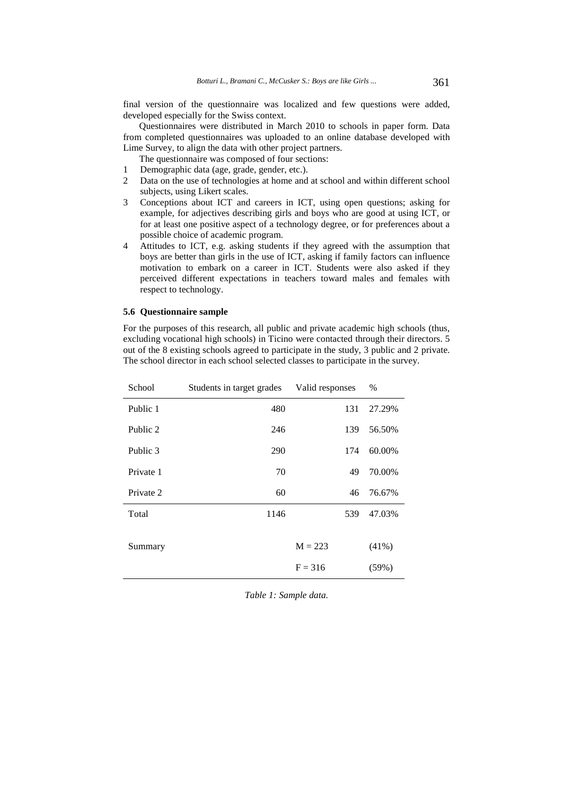final version of the questionnaire was localized and few questions were added, developed especially for the Swiss context.

Questionnaires were distributed in March 2010 to schools in paper form. Data from completed questionnaires was uploaded to an online database developed with Lime Survey, to align the data with other project partners.

The questionnaire was composed of four sections:

- 1 Demographic data (age, grade, gender, etc.).
- 2 Data on the use of technologies at home and at school and within different school subjects, using Likert scales.
- 3 Conceptions about ICT and careers in ICT, using open questions; asking for example, for adjectives describing girls and boys who are good at using ICT, or for at least one positive aspect of a technology degree, or for preferences about a possible choice of academic program.
- 4 Attitudes to ICT, e.g. asking students if they agreed with the assumption that boys are better than girls in the use of ICT, asking if family factors can influence motivation to embark on a career in ICT. Students were also asked if they perceived different expectations in teachers toward males and females with respect to technology.

### **5.6 Questionnaire sample**

For the purposes of this research, all public and private academic high schools (thus, excluding vocational high schools) in Ticino were contacted through their directors. 5 out of the 8 existing schools agreed to participate in the study, 3 public and 2 private. The school director in each school selected classes to participate in the survey.

| School    | Students in target grades | Valid responses | $\%$     |
|-----------|---------------------------|-----------------|----------|
| Public 1  | 480                       | 131             | 27.29%   |
| Public 2  | 246                       | 139             | 56.50%   |
| Public 3  | 290                       | 174             | 60.00%   |
| Private 1 | 70                        | 49              | 70.00%   |
| Private 2 | 60                        | 46              | 76.67%   |
| Total     | 1146                      | 539             | 47.03%   |
|           |                           |                 |          |
| Summary   |                           | $M = 223$       | $(41\%)$ |
|           |                           | $F = 316$       | (59%)    |

*Table 1: Sample data.*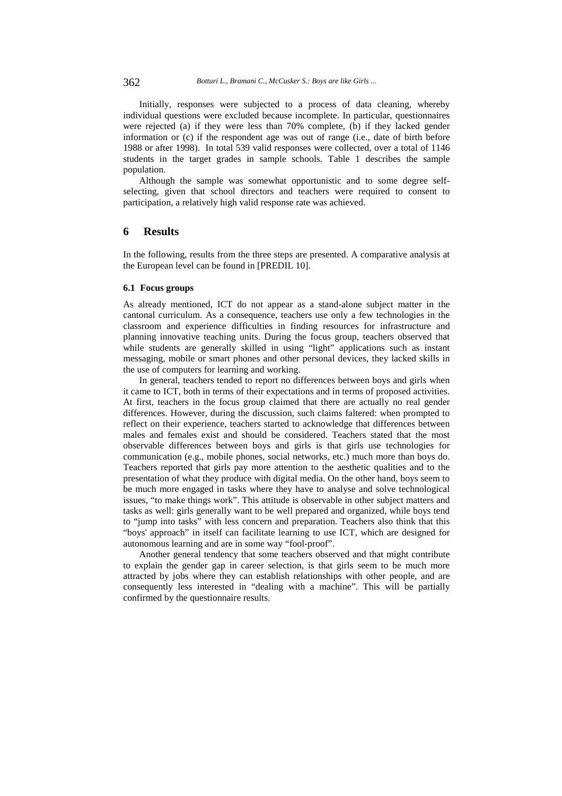Initially, responses were subjected to a process of data cleaning, whereby individual questions were excluded because incomplete. In particular, questionnaires were rejected (a) if they were less than 70% complete, (b) if they lacked gender information or (c) if the respondent age was out of range (i.e., date of birth before 1988 or after 1998). In total 539 valid responses were collected, over a total of 1146 students in the target grades in sample schools. Table 1 describes the sample population.

Although the sample was somewhat opportunistic and to some degree selfselecting, given that school directors and teachers were required to consent to participation, a relatively high valid response rate was achieved.

### **6 Results**

In the following, results from the three steps are presented. A comparative analysis at the European level can be found in [PREDIL 10].

### **6.1 Focus groups**

As already mentioned, ICT do not appear as a stand-alone subject matter in the cantonal curriculum. As a consequence, teachers use only a few technologies in the classroom and experience difficulties in finding resources for infrastructure and planning innovative teaching units. During the focus group, teachers observed that while students are generally skilled in using "light" applications such as instant messaging, mobile or smart phones and other personal devices, they lacked skills in the use of computers for learning and working.

In general, teachers tended to report no differences between boys and girls when it came to ICT, both in terms of their expectations and in terms of proposed activities. At first, teachers in the focus group claimed that there are actually no real gender differences. However, during the discussion, such claims faltered: when prompted to reflect on their experience, teachers started to acknowledge that differences between males and females exist and should be considered. Teachers stated that the most observable differences between boys and girls is that girls use technologies for communication (e.g., mobile phones, social networks, etc.) much more than boys do. Teachers reported that girls pay more attention to the aesthetic qualities and to the presentation of what they produce with digital media. On the other hand, boys seem to be much more engaged in tasks where they have to analyse and solve technological issues, "to make things work". This attitude is observable in other subject matters and tasks as well: girls generally want to be well prepared and organized, while boys tend to "jump into tasks" with less concern and preparation. Teachers also think that this "boys' approach" in itself can facilitate learning to use ICT, which are designed for autonomous learning and are in some way "fool-proof".

Another general tendency that some teachers observed and that might contribute to explain the gender gap in career selection, is that girls seem to be much more attracted by jobs where they can establish relationships with other people, and are consequently less interested in "dealing with a machine". This will be partially confirmed by the questionnaire results.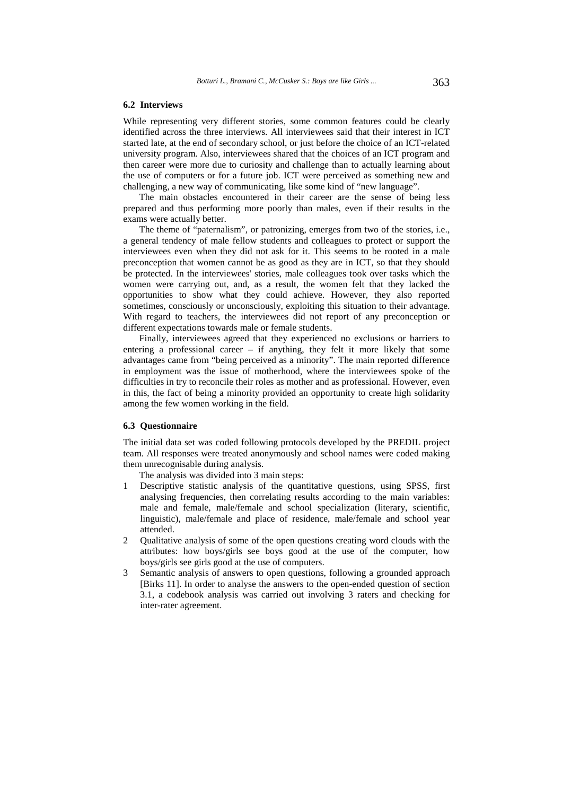#### **6.2 Interviews**

While representing very different stories, some common features could be clearly identified across the three interviews. All interviewees said that their interest in ICT started late, at the end of secondary school, or just before the choice of an ICT-related university program. Also, interviewees shared that the choices of an ICT program and then career were more due to curiosity and challenge than to actually learning about the use of computers or for a future job. ICT were perceived as something new and challenging, a new way of communicating, like some kind of "new language".

The main obstacles encountered in their career are the sense of being less prepared and thus performing more poorly than males, even if their results in the exams were actually better.

The theme of "paternalism", or patronizing, emerges from two of the stories, i.e., a general tendency of male fellow students and colleagues to protect or support the interviewees even when they did not ask for it. This seems to be rooted in a male preconception that women cannot be as good as they are in ICT, so that they should be protected. In the interviewees' stories, male colleagues took over tasks which the women were carrying out, and, as a result, the women felt that they lacked the opportunities to show what they could achieve. However, they also reported sometimes, consciously or unconsciously, exploiting this situation to their advantage. With regard to teachers, the interviewees did not report of any preconception or different expectations towards male or female students.

Finally, interviewees agreed that they experienced no exclusions or barriers to entering a professional career – if anything, they felt it more likely that some advantages came from "being perceived as a minority". The main reported difference in employment was the issue of motherhood, where the interviewees spoke of the difficulties in try to reconcile their roles as mother and as professional. However, even in this, the fact of being a minority provided an opportunity to create high solidarity among the few women working in the field.

#### **6.3 Questionnaire**

The initial data set was coded following protocols developed by the PREDIL project team. All responses were treated anonymously and school names were coded making them unrecognisable during analysis.

The analysis was divided into 3 main steps:

- 1 Descriptive statistic analysis of the quantitative questions, using SPSS, first analysing frequencies, then correlating results according to the main variables: male and female, male/female and school specialization (literary, scientific, linguistic), male/female and place of residence, male/female and school year attended.
- 2 Qualitative analysis of some of the open questions creating word clouds with the attributes: how boys/girls see boys good at the use of the computer, how boys/girls see girls good at the use of computers.
- 3 Semantic analysis of answers to open questions, following a grounded approach [Birks 11]. In order to analyse the answers to the open-ended question of section 3.1, a codebook analysis was carried out involving 3 raters and checking for inter-rater agreement.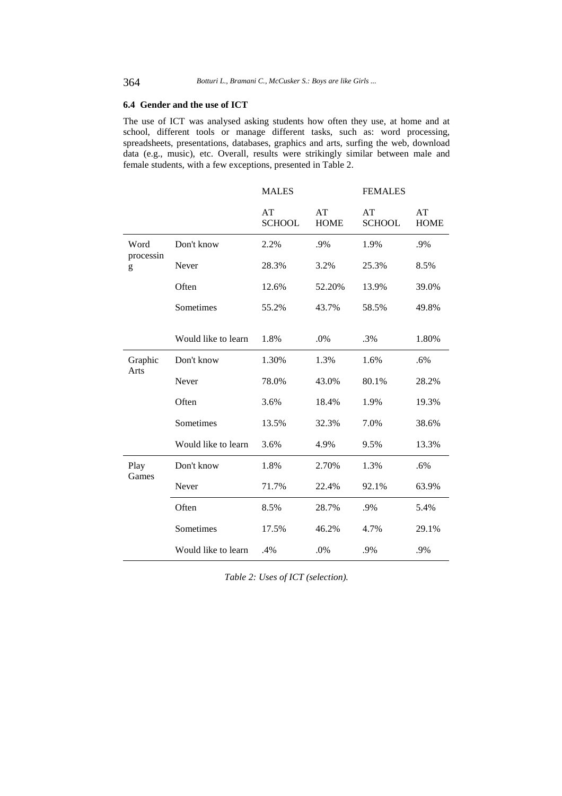### **6.4 Gender and the use of ICT**

The use of ICT was analysed asking students how often they use, at home and at school, different tools or manage different tasks, such as: word processing, spreadsheets, presentations, databases, graphics and arts, surfing the web, download data (e.g., music), etc. Overall, results were strikingly similar between male and female students, with a few exceptions, presented in Table 2.

|                        |                     | <b>MALES</b>        |                   | <b>FEMALES</b>      |                   |
|------------------------|---------------------|---------------------|-------------------|---------------------|-------------------|
|                        |                     | AT<br><b>SCHOOL</b> | AT<br><b>HOME</b> | AT<br><b>SCHOOL</b> | AT<br><b>HOME</b> |
| Word<br>processin<br>g | Don't know          | 2.2%                | .9%               | 1.9%                | .9%               |
|                        | Never               | 28.3%               | 3.2%              | 25.3%               | 8.5%              |
|                        | Often               | 12.6%               | 52.20%            | 13.9%               | 39.0%             |
|                        | Sometimes           | 55.2%               | 43.7%             | 58.5%               | 49.8%             |
|                        |                     |                     |                   |                     |                   |
|                        | Would like to learn | 1.8%                | .0%               | .3%                 | 1.80%             |
| Graphic<br>Arts        | Don't know          | 1.30%               | 1.3%              | 1.6%                | .6%               |
|                        | Never               | 78.0%               | 43.0%             | 80.1%               | 28.2%             |
|                        | Often               | 3.6%                | 18.4%             | 1.9%                | 19.3%             |
|                        | Sometimes           | 13.5%               | 32.3%             | 7.0%                | 38.6%             |
|                        | Would like to learn | 3.6%                | 4.9%              | 9.5%                | 13.3%             |
| Play<br>Games          | Don't know          | 1.8%                | 2.70%             | 1.3%                | .6%               |
|                        | Never               | 71.7%               | 22.4%             | 92.1%               | 63.9%             |
|                        | Often               | 8.5%                | 28.7%             | .9%                 | 5.4%              |
|                        | Sometimes           | 17.5%               | 46.2%             | 4.7%                | 29.1%             |
|                        | Would like to learn | .4%                 | .0%               | .9%                 | .9%               |

*Table 2: Uses of ICT (selection).*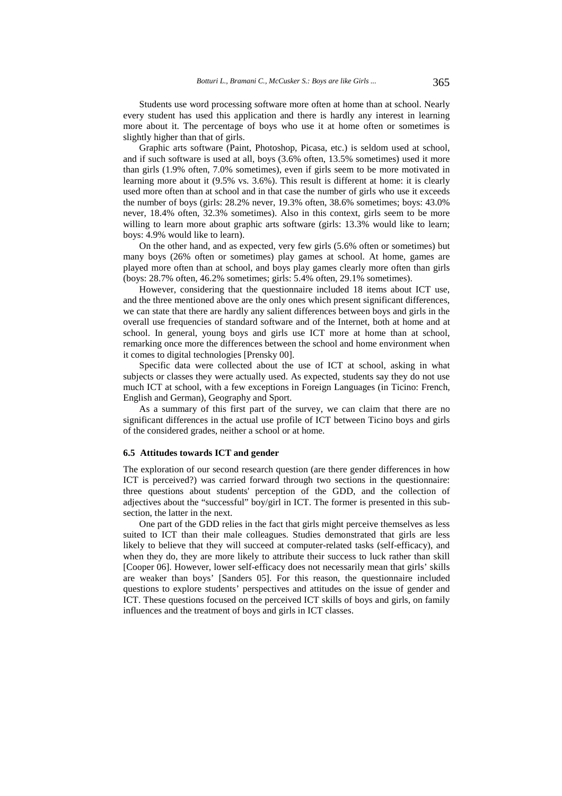Students use word processing software more often at home than at school. Nearly every student has used this application and there is hardly any interest in learning more about it. The percentage of boys who use it at home often or sometimes is slightly higher than that of girls.

Graphic arts software (Paint, Photoshop, Picasa, etc.) is seldom used at school, and if such software is used at all, boys (3.6% often, 13.5% sometimes) used it more than girls (1.9% often, 7.0% sometimes), even if girls seem to be more motivated in learning more about it (9.5% vs. 3.6%). This result is different at home: it is clearly used more often than at school and in that case the number of girls who use it exceeds the number of boys (girls: 28.2% never, 19.3% often, 38.6% sometimes; boys: 43.0% never, 18.4% often, 32.3% sometimes). Also in this context, girls seem to be more willing to learn more about graphic arts software (girls: 13.3% would like to learn; boys: 4.9% would like to learn).

On the other hand, and as expected, very few girls (5.6% often or sometimes) but many boys (26% often or sometimes) play games at school. At home, games are played more often than at school, and boys play games clearly more often than girls (boys: 28.7% often, 46.2% sometimes; girls: 5.4% often, 29.1% sometimes).

However, considering that the questionnaire included 18 items about ICT use, and the three mentioned above are the only ones which present significant differences, we can state that there are hardly any salient differences between boys and girls in the overall use frequencies of standard software and of the Internet, both at home and at school. In general, young boys and girls use ICT more at home than at school, remarking once more the differences between the school and home environment when it comes to digital technologies [Prensky 00].

Specific data were collected about the use of ICT at school, asking in what subjects or classes they were actually used. As expected, students say they do not use much ICT at school, with a few exceptions in Foreign Languages (in Ticino: French, English and German), Geography and Sport.

As a summary of this first part of the survey, we can claim that there are no significant differences in the actual use profile of ICT between Ticino boys and girls of the considered grades, neither a school or at home.

#### **6.5 Attitudes towards ICT and gender**

The exploration of our second research question (are there gender differences in how ICT is perceived?) was carried forward through two sections in the questionnaire: three questions about students' perception of the GDD, and the collection of adjectives about the "successful" boy/girl in ICT. The former is presented in this subsection, the latter in the next.

One part of the GDD relies in the fact that girls might perceive themselves as less suited to ICT than their male colleagues. Studies demonstrated that girls are less likely to believe that they will succeed at computer-related tasks (self-efficacy), and when they do, they are more likely to attribute their success to luck rather than skill [Cooper 06]. However, lower self-efficacy does not necessarily mean that girls' skills are weaker than boys' [Sanders 05]. For this reason, the questionnaire included questions to explore students' perspectives and attitudes on the issue of gender and ICT. These questions focused on the perceived ICT skills of boys and girls, on family influences and the treatment of boys and girls in ICT classes.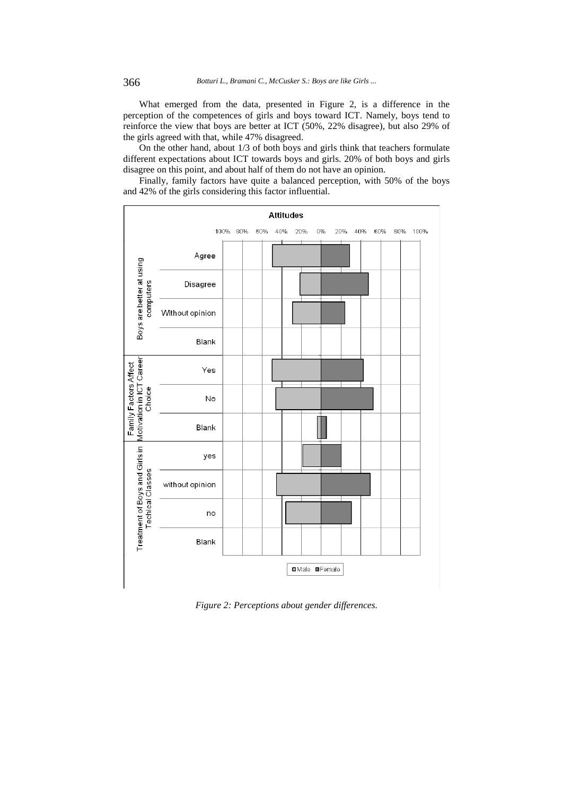What emerged from the data, presented in Figure 2, is a difference in the perception of the competences of girls and boys toward ICT. Namely, boys tend to reinforce the view that boys are better at ICT (50%, 22% disagree), but also 29% of the girls agreed with that, while 47% disagreed.

On the other hand, about 1/3 of both boys and girls think that teachers formulate different expectations about ICT towards boys and girls. 20% of both boys and girls disagree on this point, and about half of them do not have an opinion.

Finally, family factors have quite a balanced perception, with 50% of the boys and 42% of the girls considering this factor influential.



*Figure 2: Perceptions about gender differences.*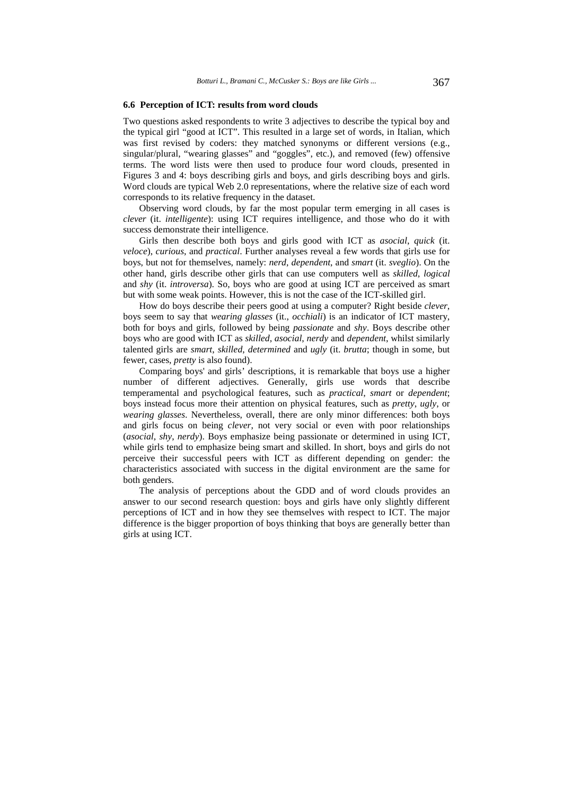#### **6.6 Perception of ICT: results from word clouds**

Two questions asked respondents to write 3 adjectives to describe the typical boy and the typical girl "good at ICT". This resulted in a large set of words, in Italian, which was first revised by coders: they matched synonyms or different versions (e.g., singular/plural, "wearing glasses" and "goggles", etc.), and removed (few) offensive terms. The word lists were then used to produce four word clouds, presented in Figures 3 and 4: boys describing girls and boys, and girls describing boys and girls. Word clouds are typical Web 2.0 representations, where the relative size of each word corresponds to its relative frequency in the dataset.

Observing word clouds, by far the most popular term emerging in all cases is *clever* (it. *intelligente*): using ICT requires intelligence, and those who do it with success demonstrate their intelligence.

Girls then describe both boys and girls good with ICT as *asocial*, *quick* (it. *veloce*), *curious*, and *practical*. Further analyses reveal a few words that girls use for boys, but not for themselves, namely: *nerd*, *dependent*, and *smart* (it. *sveglio*). On the other hand, girls describe other girls that can use computers well as *skilled*, *logical*  and *shy* (it. *introversa*). So, boys who are good at using ICT are perceived as smart but with some weak points. However, this is not the case of the ICT-skilled girl.

How do boys describe their peers good at using a computer? Right beside *clever*, boys seem to say that *wearing glasses* (it., *occhiali*) is an indicator of ICT mastery, both for boys and girls, followed by being *passionate* and *shy*. Boys describe other boys who are good with ICT as *skilled*, *asocial*, *nerdy* and *dependent*, whilst similarly talented girls are *smart*, *skilled*, *determined* and *ugly* (it. *brutta*; though in some, but fewer, cases, *pretty* is also found).

Comparing boys' and girls' descriptions, it is remarkable that boys use a higher number of different adjectives. Generally, girls use words that describe temperamental and psychological features, such as *practical*, *smart* or *dependent*; boys instead focus more their attention on physical features, such as *pretty*, *ugly*, or *wearing glasses*. Nevertheless, overall, there are only minor differences: both boys and girls focus on being *clever*, not very social or even with poor relationships (*asocial*, *shy*, *nerdy*). Boys emphasize being passionate or determined in using ICT, while girls tend to emphasize being smart and skilled. In short, boys and girls do not perceive their successful peers with ICT as different depending on gender: the characteristics associated with success in the digital environment are the same for both genders.

The analysis of perceptions about the GDD and of word clouds provides an answer to our second research question: boys and girls have only slightly different perceptions of ICT and in how they see themselves with respect to ICT. The major difference is the bigger proportion of boys thinking that boys are generally better than girls at using ICT.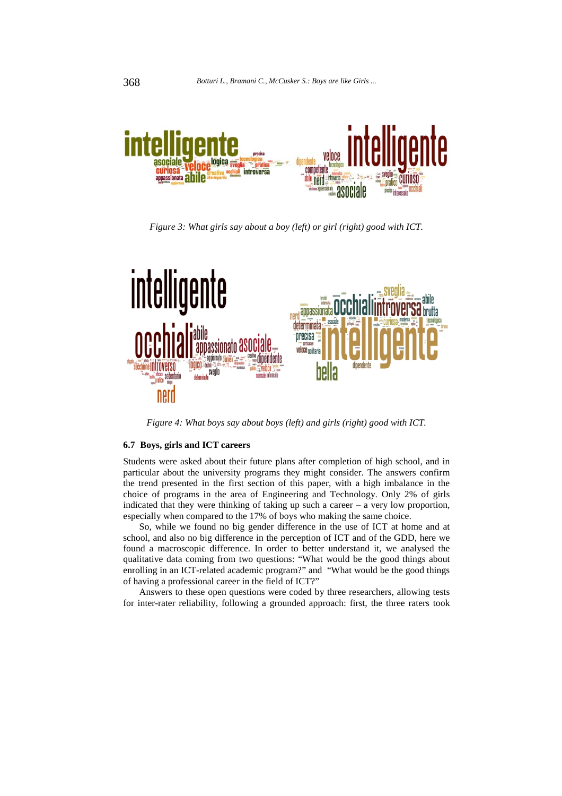

*Figure 3: What girls say about a boy (left) or girl (right) good with ICT.* 



*Figure 4: What boys say about boys (left) and girls (right) good with ICT.* 

### **6.7 Boys, girls and ICT careers**

Students were asked about their future plans after completion of high school, and in particular about the university programs they might consider. The answers confirm the trend presented in the first section of this paper, with a high imbalance in the choice of programs in the area of Engineering and Technology. Only 2% of girls indicated that they were thinking of taking up such a career – a very low proportion, especially when compared to the 17% of boys who making the same choice.

So, while we found no big gender difference in the use of ICT at home and at school, and also no big difference in the perception of ICT and of the GDD, here we found a macroscopic difference. In order to better understand it, we analysed the qualitative data coming from two questions: "What would be the good things about enrolling in an ICT-related academic program?" and "What would be the good things of having a professional career in the field of ICT?"

Answers to these open questions were coded by three researchers, allowing tests for inter-rater reliability, following a grounded approach: first, the three raters took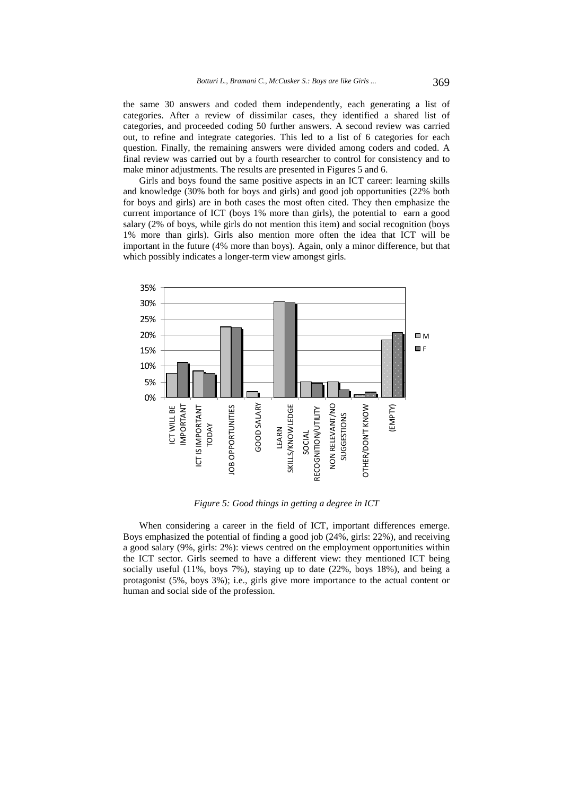the same 30 answers and coded them independently, each generating a list of categories. After a review of dissimilar cases, they identified a shared list of categories, and proceeded coding 50 further answers. A second review was carried out, to refine and integrate categories. This led to a list of 6 categories for each question. Finally, the remaining answers were divided among coders and coded. A final review was carried out by a fourth researcher to control for consistency and to make minor adjustments. The results are presented in Figures 5 and 6.

Girls and boys found the same positive aspects in an ICT career: learning skills and knowledge (30% both for boys and girls) and good job opportunities (22% both for boys and girls) are in both cases the most often cited. They then emphasize the current importance of ICT (boys 1% more than girls), the potential to earn a good salary (2% of boys, while girls do not mention this item) and social recognition (boys 1% more than girls). Girls also mention more often the idea that ICT will be important in the future (4% more than boys). Again, only a minor difference, but that which possibly indicates a longer-term view amongst girls.



*Figure 5: Good things in getting a degree in ICT* 

When considering a career in the field of ICT, important differences emerge. Boys emphasized the potential of finding a good job (24%, girls: 22%), and receiving a good salary (9%, girls: 2%): views centred on the employment opportunities within the ICT sector. Girls seemed to have a different view: they mentioned ICT being socially useful (11%, boys 7%), staying up to date (22%, boys 18%), and being a protagonist (5%, boys 3%); i.e., girls give more importance to the actual content or human and social side of the profession.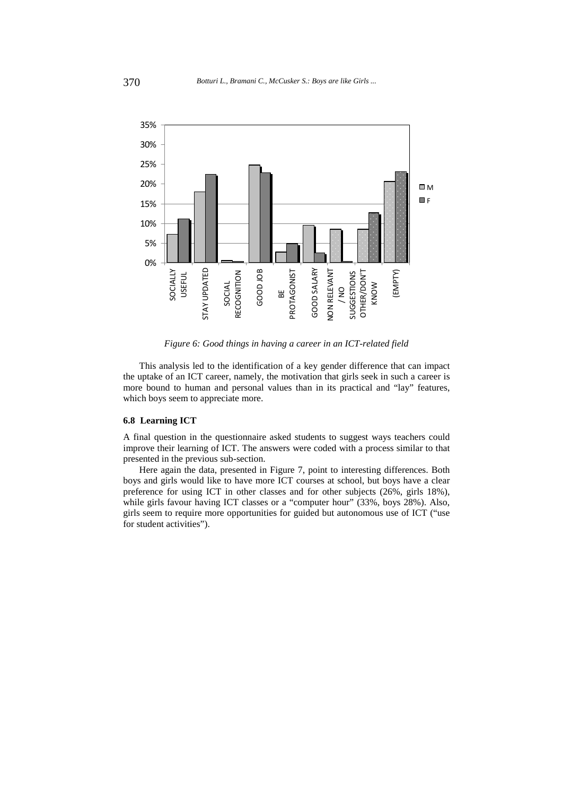

*Figure 6: Good things in having a career in an ICT-related field* 

This analysis led to the identification of a key gender difference that can impact the uptake of an ICT career, namely, the motivation that girls seek in such a career is more bound to human and personal values than in its practical and "lay" features, which boys seem to appreciate more.

### **6.8 Learning ICT**

A final question in the questionnaire asked students to suggest ways teachers could improve their learning of ICT. The answers were coded with a process similar to that presented in the previous sub-section.

Here again the data, presented in Figure 7, point to interesting differences. Both boys and girls would like to have more ICT courses at school, but boys have a clear preference for using ICT in other classes and for other subjects (26%, girls 18%), while girls favour having ICT classes or a "computer hour" (33%, boys 28%). Also, girls seem to require more opportunities for guided but autonomous use of ICT ("use for student activities").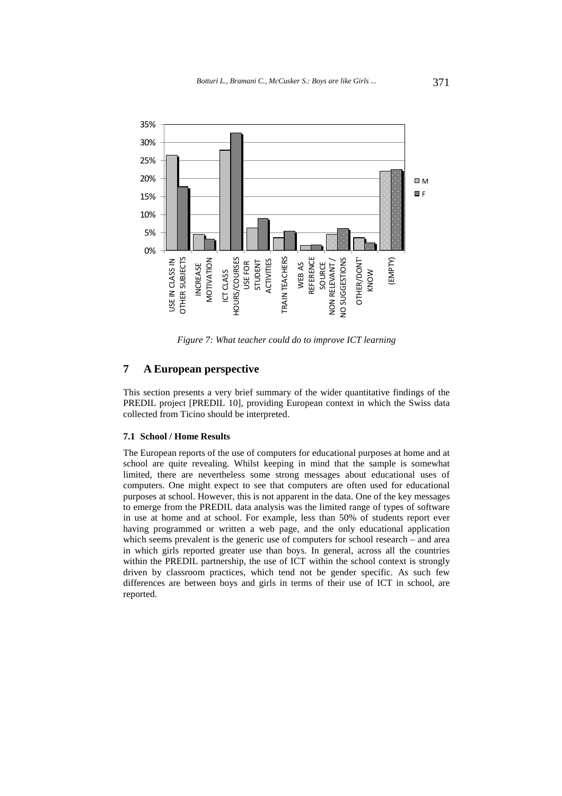

*Figure 7: What teacher could do to improve ICT learning* 

# **7 A European perspective**

This section presents a very brief summary of the wider quantitative findings of the PREDIL project [PREDIL 10], providing European context in which the Swiss data collected from Ticino should be interpreted.

### **7.1 School / Home Results**

The European reports of the use of computers for educational purposes at home and at school are quite revealing. Whilst keeping in mind that the sample is somewhat limited, there are nevertheless some strong messages about educational uses of computers. One might expect to see that computers are often used for educational purposes at school. However, this is not apparent in the data. One of the key messages to emerge from the PREDIL data analysis was the limited range of types of software in use at home and at school. For example, less than 50% of students report ever having programmed or written a web page, and the only educational application which seems prevalent is the generic use of computers for school research – and area in which girls reported greater use than boys. In general, across all the countries within the PREDIL partnership, the use of ICT within the school context is strongly driven by classroom practices, which tend not be gender specific. As such few differences are between boys and girls in terms of their use of ICT in school, are reported.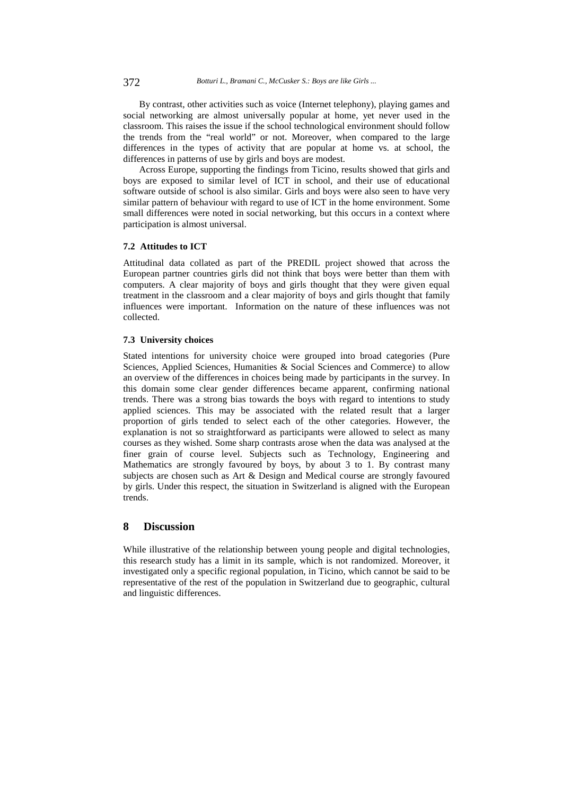By contrast, other activities such as voice (Internet telephony), playing games and social networking are almost universally popular at home, yet never used in the classroom. This raises the issue if the school technological environment should follow the trends from the "real world" or not. Moreover, when compared to the large differences in the types of activity that are popular at home vs. at school, the differences in patterns of use by girls and boys are modest.

Across Europe, supporting the findings from Ticino, results showed that girls and boys are exposed to similar level of ICT in school, and their use of educational software outside of school is also similar. Girls and boys were also seen to have very similar pattern of behaviour with regard to use of ICT in the home environment. Some small differences were noted in social networking, but this occurs in a context where participation is almost universal.

### **7.2 Attitudes to ICT**

Attitudinal data collated as part of the PREDIL project showed that across the European partner countries girls did not think that boys were better than them with computers. A clear majority of boys and girls thought that they were given equal treatment in the classroom and a clear majority of boys and girls thought that family influences were important. Information on the nature of these influences was not collected.

### **7.3 University choices**

Stated intentions for university choice were grouped into broad categories (Pure Sciences, Applied Sciences, Humanities & Social Sciences and Commerce) to allow an overview of the differences in choices being made by participants in the survey. In this domain some clear gender differences became apparent, confirming national trends. There was a strong bias towards the boys with regard to intentions to study applied sciences. This may be associated with the related result that a larger proportion of girls tended to select each of the other categories. However, the explanation is not so straightforward as participants were allowed to select as many courses as they wished. Some sharp contrasts arose when the data was analysed at the finer grain of course level. Subjects such as Technology, Engineering and Mathematics are strongly favoured by boys, by about 3 to 1. By contrast many subjects are chosen such as Art & Design and Medical course are strongly favoured by girls. Under this respect, the situation in Switzerland is aligned with the European trends.

# **8 Discussion**

While illustrative of the relationship between young people and digital technologies, this research study has a limit in its sample, which is not randomized. Moreover, it investigated only a specific regional population, in Ticino, which cannot be said to be representative of the rest of the population in Switzerland due to geographic, cultural and linguistic differences.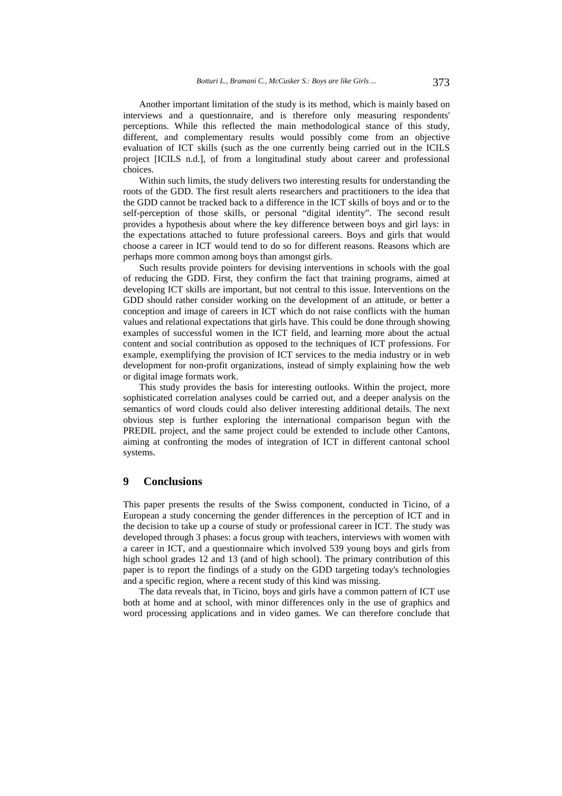Another important limitation of the study is its method, which is mainly based on interviews and a questionnaire, and is therefore only measuring respondents' perceptions. While this reflected the main methodological stance of this study, different, and complementary results would possibly come from an objective evaluation of ICT skills (such as the one currently being carried out in the ICILS project [ICILS n.d.], of from a longitudinal study about career and professional choices.

Within such limits, the study delivers two interesting results for understanding the roots of the GDD. The first result alerts researchers and practitioners to the idea that the GDD cannot be tracked back to a difference in the ICT skills of boys and or to the self-perception of those skills, or personal "digital identity". The second result provides a hypothesis about where the key difference between boys and girl lays: in the expectations attached to future professional careers. Boys and girls that would choose a career in ICT would tend to do so for different reasons. Reasons which are perhaps more common among boys than amongst girls.

Such results provide pointers for devising interventions in schools with the goal of reducing the GDD. First, they confirm the fact that training programs, aimed at developing ICT skills are important, but not central to this issue. Interventions on the GDD should rather consider working on the development of an attitude, or better a conception and image of careers in ICT which do not raise conflicts with the human values and relational expectations that girls have. This could be done through showing examples of successful women in the ICT field, and learning more about the actual content and social contribution as opposed to the techniques of ICT professions. For example, exemplifying the provision of ICT services to the media industry or in web development for non-profit organizations, instead of simply explaining how the web or digital image formats work.

This study provides the basis for interesting outlooks. Within the project, more sophisticated correlation analyses could be carried out, and a deeper analysis on the semantics of word clouds could also deliver interesting additional details. The next obvious step is further exploring the international comparison begun with the PREDIL project, and the same project could be extended to include other Cantons, aiming at confronting the modes of integration of ICT in different cantonal school systems.

### **9 Conclusions**

This paper presents the results of the Swiss component, conducted in Ticino, of a European a study concerning the gender differences in the perception of ICT and in the decision to take up a course of study or professional career in ICT. The study was developed through 3 phases: a focus group with teachers, interviews with women with a career in ICT, and a questionnaire which involved 539 young boys and girls from high school grades 12 and 13 (and of high school). The primary contribution of this paper is to report the findings of a study on the GDD targeting today's technologies and a specific region, where a recent study of this kind was missing.

The data reveals that, in Ticino, boys and girls have a common pattern of ICT use both at home and at school, with minor differences only in the use of graphics and word processing applications and in video games. We can therefore conclude that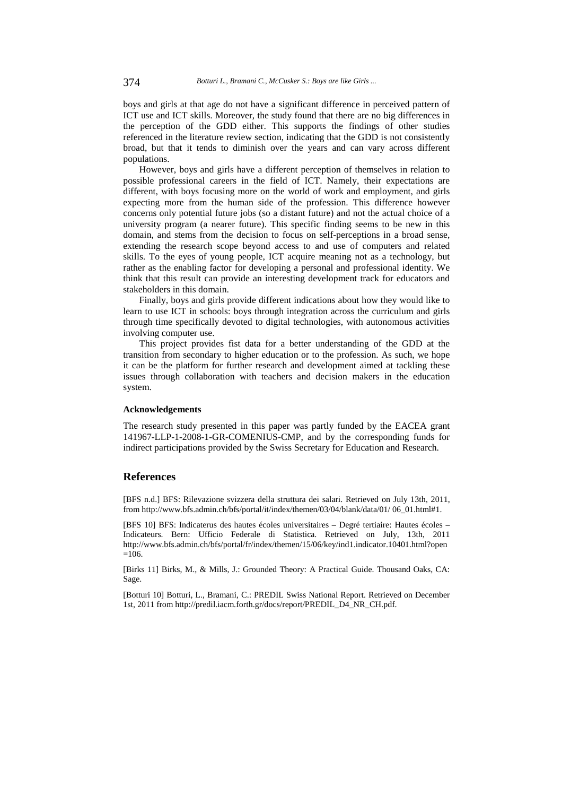boys and girls at that age do not have a significant difference in perceived pattern of ICT use and ICT skills. Moreover, the study found that there are no big differences in the perception of the GDD either. This supports the findings of other studies referenced in the literature review section, indicating that the GDD is not consistently broad, but that it tends to diminish over the years and can vary across different populations.

However, boys and girls have a different perception of themselves in relation to possible professional careers in the field of ICT. Namely, their expectations are different, with boys focusing more on the world of work and employment, and girls expecting more from the human side of the profession. This difference however concerns only potential future jobs (so a distant future) and not the actual choice of a university program (a nearer future). This specific finding seems to be new in this domain, and stems from the decision to focus on self-perceptions in a broad sense, extending the research scope beyond access to and use of computers and related skills. To the eyes of young people, ICT acquire meaning not as a technology, but rather as the enabling factor for developing a personal and professional identity. We think that this result can provide an interesting development track for educators and stakeholders in this domain.

Finally, boys and girls provide different indications about how they would like to learn to use ICT in schools: boys through integration across the curriculum and girls through time specifically devoted to digital technologies, with autonomous activities involving computer use.

This project provides fist data for a better understanding of the GDD at the transition from secondary to higher education or to the profession. As such, we hope it can be the platform for further research and development aimed at tackling these issues through collaboration with teachers and decision makers in the education system.

#### **Acknowledgements**

The research study presented in this paper was partly funded by the EACEA grant 141967-LLP-1-2008-1-GR-COMENIUS-CMP, and by the corresponding funds for indirect participations provided by the Swiss Secretary for Education and Research.

#### **References**

[BFS n.d.] BFS: Rilevazione svizzera della struttura dei salari. Retrieved on July 13th, 2011, from http://www.bfs.admin.ch/bfs/portal/it/index/themen/03/04/blank/data/01/ 06\_01.html#1.

[BFS 10] BFS: Indicaterus des hautes écoles universitaires – Degré tertiaire: Hautes écoles – Indicateurs. Bern: Ufficio Federale di Statistica. Retrieved on July, 13th, 2011 http://www.bfs.admin.ch/bfs/portal/fr/index/themen/15/06/key/ind1.indicator.10401.html?open  $=106$ .

[Birks 11] Birks, M., & Mills, J.: Grounded Theory: A Practical Guide. Thousand Oaks, CA: Sage.

[Botturi 10] Botturi, L., Bramani, C.: PREDIL Swiss National Report. Retrieved on December 1st, 2011 from http://predil.iacm.forth.gr/docs/report/PREDIL\_D4\_NR\_CH.pdf.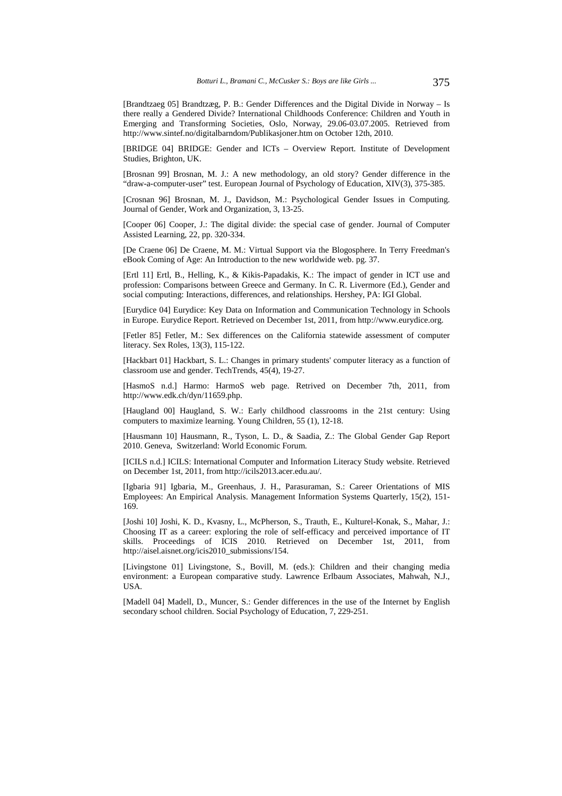[Brandtzaeg 05] Brandtzæg, P. B.: Gender Differences and the Digital Divide in Norway – Is there really a Gendered Divide? International Childhoods Conference: Children and Youth in Emerging and Transforming Societies, Oslo, Norway, 29.06-03.07.2005. Retrieved from http://www.sintef.no/digitalbarndom/Publikasjoner.htm on October 12th, 2010.

[BRIDGE 04] BRIDGE: Gender and ICTs – Overview Report. Institute of Development Studies, Brighton, UK.

[Brosnan 99] Brosnan, M. J.: A new methodology, an old story? Gender difference in the "draw-a-computer-user" test. European Journal of Psychology of Education, XIV(3), 375-385.

[Crosnan 96] Brosnan, M. J., Davidson, M.: Psychological Gender Issues in Computing. Journal of Gender, Work and Organization, 3, 13-25.

[Cooper 06] Cooper, J.: The digital divide: the special case of gender. Journal of Computer Assisted Learning, 22, pp. 320-334.

[De Craene 06] De Craene, M. M.: Virtual Support via the Blogosphere. In Terry Freedman's eBook Coming of Age: An Introduction to the new worldwide web. pg. 37.

[Ertl 11] Ertl, B., Helling, K., & Kikis-Papadakis, K.: The impact of gender in ICT use and profession: Comparisons between Greece and Germany. In C. R. Livermore (Ed.), Gender and social computing: Interactions, differences, and relationships. Hershey, PA: IGI Global.

[Eurydice 04] Eurydice: Key Data on Information and Communication Technology in Schools in Europe. Eurydice Report. Retrieved on December 1st, 2011, from http://www.eurydice.org.

[Fetler 85] Fetler, M.: Sex differences on the California statewide assessment of computer literacy. Sex Roles, 13(3), 115-122.

[Hackbart 01] Hackbart, S. L.: Changes in primary students' computer literacy as a function of classroom use and gender. TechTrends, 45(4), 19-27.

[HasmoS n.d.] Harmo: HarmoS web page. Retrived on December 7th, 2011, from http://www.edk.ch/dyn/11659.php.

[Haugland 00] Haugland, S. W.: Early childhood classrooms in the 21st century: Using computers to maximize learning. Young Children, 55 (1), 12-18.

[Hausmann 10] Hausmann, R., Tyson, L. D., & Saadia, Z.: The Global Gender Gap Report 2010. Geneva, Switzerland: World Economic Forum.

[ICILS n.d.] ICILS: International Computer and Information Literacy Study website. Retrieved on December 1st, 2011, from http://icils2013.acer.edu.au/.

[Igbaria 91] Igbaria, M., Greenhaus, J. H., Parasuraman, S.: Career Orientations of MIS Employees: An Empirical Analysis. Management Information Systems Quarterly, 15(2), 151- 169.

[Joshi 10] Joshi, K. D., Kvasny, L., McPherson, S., Trauth, E., Kulturel-Konak, S., Mahar, J.: Choosing IT as a career: exploring the role of self-efficacy and perceived importance of IT skills. Proceedings of ICIS 2010*.* Retrieved on December 1st, 2011, from http://aisel.aisnet.org/icis2010\_submissions/154.

[Livingstone 01] Livingstone, S., Bovill, M. (eds.): Children and their changing media environment: a European comparative study. Lawrence Erlbaum Associates, Mahwah, N.J., USA.

[Madell 04] Madell, D., Muncer, S.: Gender differences in the use of the Internet by English secondary school children. Social Psychology of Education, 7, 229-251.